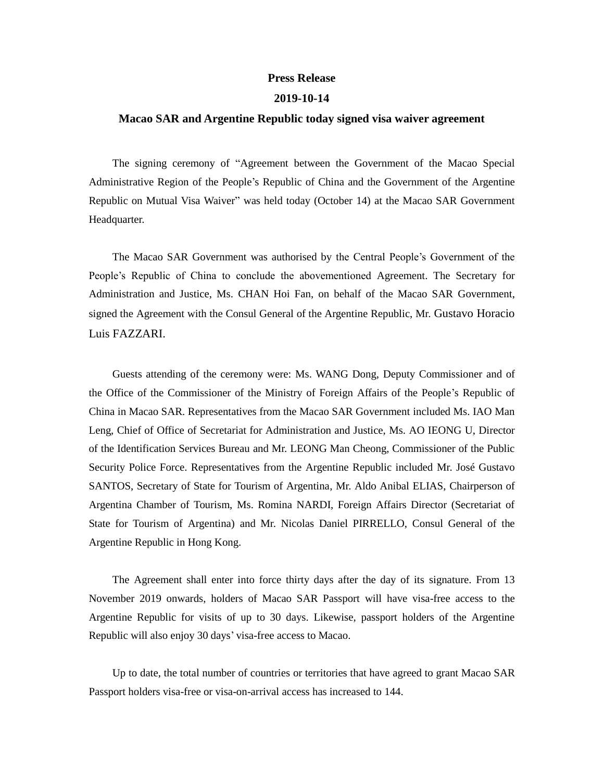## **Press Release**

## **2019-10-14**

## **Macao SAR and Argentine Republic today signed visa waiver agreement**

The signing ceremony of "Agreement between the Government of the Macao Special Administrative Region of the People's Republic of China and the Government of the Argentine Republic on Mutual Visa Waiver" was held today (October 14) at the Macao SAR Government Headquarter.

The Macao SAR Government was authorised by the Central People's Government of the People's Republic of China to conclude the abovementioned Agreement. The Secretary for Administration and Justice, Ms. CHAN Hoi Fan, on behalf of the Macao SAR Government, signed the Agreement with the Consul General of the Argentine Republic, Mr. Gustavo Horacio Luis FAZZARI.

Guests attending of the ceremony were: Ms. WANG Dong, Deputy Commissioner and of the Office of the Commissioner of the Ministry of Foreign Affairs of the People's Republic of China in Macao SAR. Representatives from the Macao SAR Government included Ms. IAO Man Leng, Chief of Office of Secretariat for Administration and Justice, Ms. AO IEONG U, Director of the Identification Services Bureau and Mr. LEONG Man Cheong, Commissioner of the Public Security Police Force. Representatives from the Argentine Republic included Mr. José Gustavo SANTOS, Secretary of State for Tourism of Argentina, Mr. Aldo Anibal ELIAS, Chairperson of Argentina Chamber of Tourism, Ms. Romina NARDI, Foreign Affairs Director (Secretariat of State for Tourism of Argentina) and Mr. Nicolas Daniel PIRRELLO, Consul General of the Argentine Republic in Hong Kong.

The Agreement shall enter into force thirty days after the day of its signature. From 13 November 2019 onwards, holders of Macao SAR Passport will have visa-free access to the Argentine Republic for visits of up to 30 days. Likewise, passport holders of the Argentine Republic will also enjoy 30 days' visa-free access to Macao.

Up to date, the total number of countries or territories that have agreed to grant Macao SAR Passport holders visa-free or visa-on-arrival access has increased to 144.